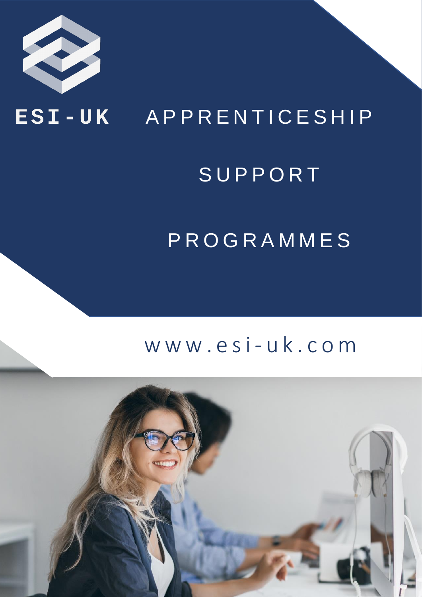

### ESI-UK APPRENTICESHIP

## **SUPPORT**

## PROGRAMMES

### www.esi-uk.com

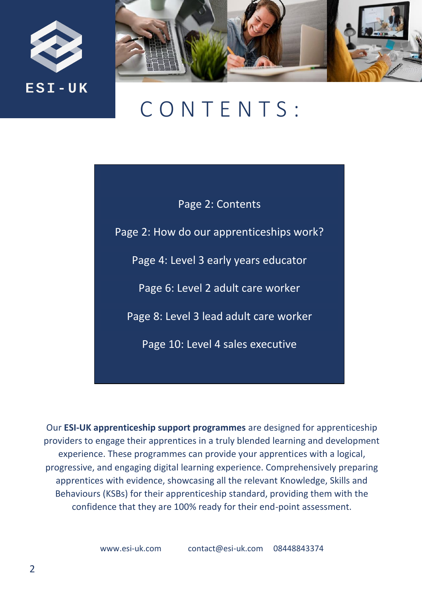



## C O N T E N T S :

Page 2: Contents

Page 2: How do our apprenticeships work?

Page 4: Level 3 early years educator

Page 6: Level 2 adult care worker

Page 8: Level 3 lead adult care worker

Page 10: Level 4 sales executive

Our **ESI-UK apprenticeship support programmes** are designed for apprenticeship providers to engage their apprentices in a truly blended learning and development experience. These programmes can provide your apprentices with a logical, progressive, and engaging digital learning experience. Comprehensively preparing apprentices with evidence, showcasing all the relevant Knowledge, Skills and Behaviours (KSBs) for their apprenticeship standard, providing them with the confidence that they are 100% ready for their end-point assessment.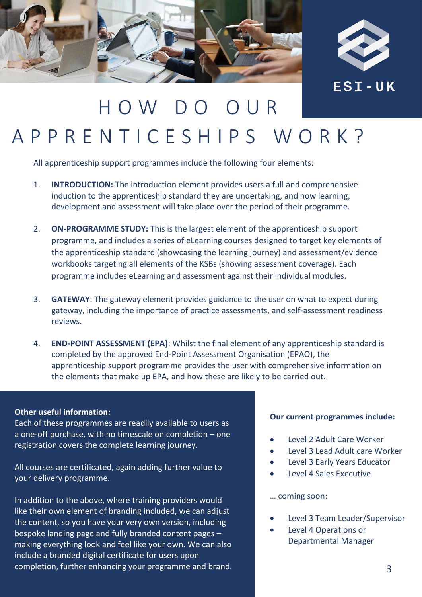



## H O W D O O U R A P P R E N T I C E S H I P S W O R K ?

All apprenticeship support programmes include the following four elements:

- 1. **INTRODUCTION:** The introduction element provides users a full and comprehensive induction to the apprenticeship standard they are undertaking, and how learning, development and assessment will take place over the period of their programme.
- 2. **ON-PROGRAMME STUDY:** This is the largest element of the apprenticeship support programme, and includes a series of eLearning courses designed to target key elements of the apprenticeship standard (showcasing the learning journey) and assessment/evidence workbooks targeting all elements of the KSBs (showing assessment coverage). Each programme includes eLearning and assessment against their individual modules.
- 3. **GATEWAY**: The gateway element provides guidance to the user on what to expect during gateway, including the importance of practice assessments, and self-assessment readiness reviews.
- 4. **END-POINT ASSESSMENT (EPA)**: Whilst the final element of any apprenticeship standard is completed by the approved End-Point Assessment Organisation (EPAO), the apprenticeship support programme provides the user with comprehensive information on the elements that make up EPA, and how these are likely to be carried out.

#### **Other useful information:**

Each of these programmes are readily available to users as a one-off purchase, with no timescale on completion – one registration covers the complete learning journey.

All courses are certificated, again adding further value to your delivery programme.

In addition to the above, where training providers would like their own element of branding included, we can adjust the content, so you have your very own version, including bespoke landing page and fully branded content pages – making everything look and feel like your own. We can also include a branded digital certificate for users upon completion, further enhancing your programme and brand.

#### **Our current programmes include:**

- Level 2 Adult Care Worker
- Level 3 Lead Adult care Worker
- Level 3 Early Years Educator
- Level 4 Sales Executive

#### … coming soon:

- Level 3 Team Leader/Supervisor
- Level 4 Operations or Departmental Manager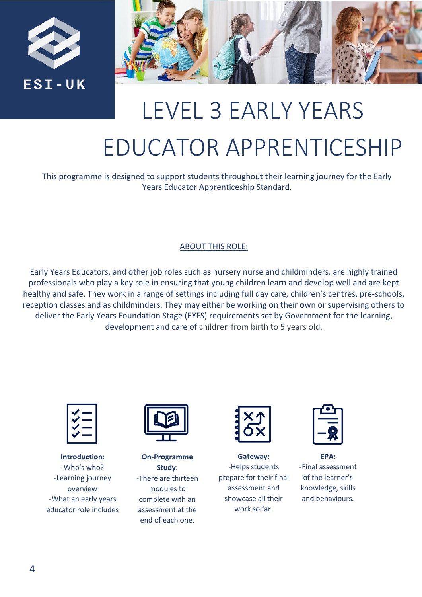



# LEVEL 3 EARLY YEARS EDUCATOR APPRENTICESHIP

This programme is designed to support students throughout their learning journey for the Early Years Educator Apprenticeship Standard.

#### ABOUT THIS ROLE:

Early Years Educators, and other job roles such as nursery nurse and childminders, are highly trained professionals who play a key role in ensuring that young children learn and develop well and are kept healthy and safe. They work in a range of settings including full day care, children's centres, pre-schools, reception classes and as childminders. They may either be working on their own or supervising others to deliver the Early Years Foundation Stage (EYFS) requirements set by Government for the learning, development and care of children from birth to 5 years old.

**Introduction:** -Who's who? -Learning journey overview -What an early years educator role includes



**On-Programme Study:** -There are thirteen modules to complete with an assessment at the end of each one.

|--|

**Gateway:** -Helps students prepare for their final assessment and showcase all their work so far.

**EPA:** -Final assessment of the learner's knowledge, skills and behaviours.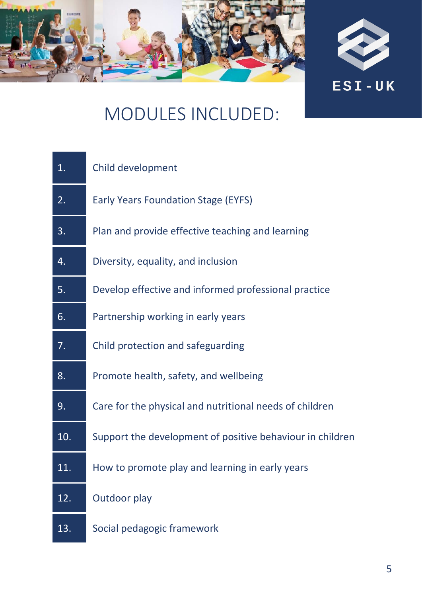



| $\overline{1}$ . | Child development                                         |
|------------------|-----------------------------------------------------------|
| 2.               | <b>Early Years Foundation Stage (EYFS)</b>                |
| 3.               | Plan and provide effective teaching and learning          |
| 4.               | Diversity, equality, and inclusion                        |
| 5.               | Develop effective and informed professional practice      |
| 6.               | Partnership working in early years                        |
| 7.               | Child protection and safeguarding                         |
| 8.               | Promote health, safety, and wellbeing                     |
| 9.               | Care for the physical and nutritional needs of children   |
| 10.              | Support the development of positive behaviour in children |
| 11.              | How to promote play and learning in early years           |
| 12.              | Outdoor play                                              |
| 13.              | Social pedagogic framework                                |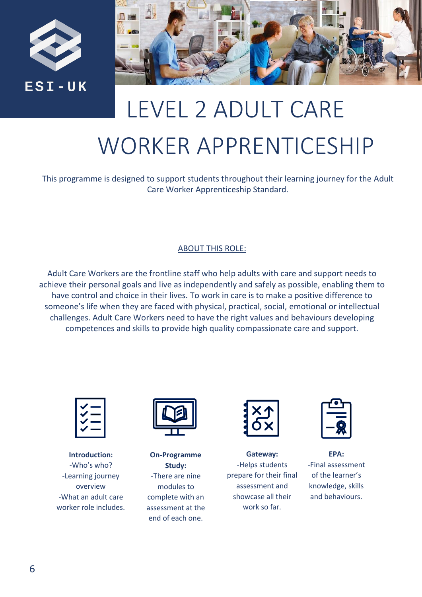



# LEVEL 2 ADULT CARE WORKER APPRENTICESHIP

This programme is designed to support students throughout their learning journey for the Adult Care Worker Apprenticeship Standard.

#### ABOUT THIS ROLE:

Adult Care Workers are the frontline staff who help adults with care and support needs to achieve their personal goals and live as independently and safely as possible, enabling them to have control and choice in their lives. To work in care is to make a positive difference to someone's life when they are faced with physical, practical, social, emotional or intellectual challenges. Adult Care Workers need to have the right values and behaviours developing competences and skills to provide high quality compassionate care and support.



**Introduction:** -Who's who? -Learning journey overview -What an adult care worker role includes.



**On-Programme Study:** -There are nine modules to complete with an assessment at the end of each one.

**Gateway:** -Helps students prepare for their final assessment and showcase all their work so far.

**EPA:** -Final assessment of the learner's knowledge, skills and behaviours.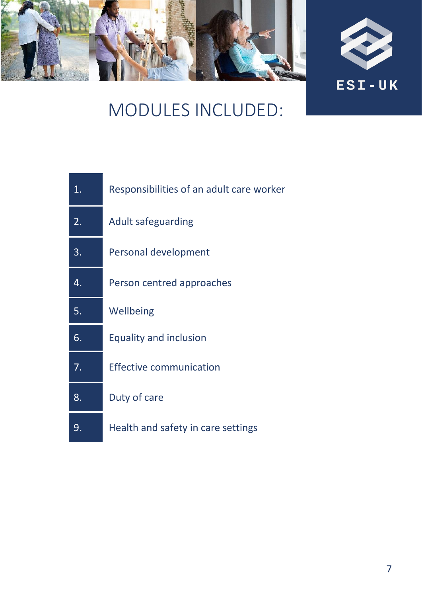



| $\mathbf 1$ . | Responsibilities of an adult care worker |
|---------------|------------------------------------------|
| 2.            | <b>Adult safeguarding</b>                |
| 3.            | Personal development                     |
| 4.            | Person centred approaches                |
| 5.            | Wellbeing                                |
| 6.            | <b>Equality and inclusion</b>            |
| 7.            | Effective communication                  |
| 8.            | Duty of care                             |
| 9.            | Health and safety in care settings       |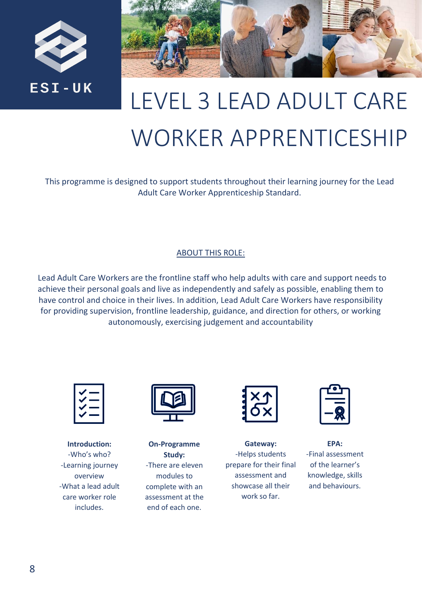



## LEVEL 3 LEAD ADULT CARE WORKER APPRENTICESHIP

This programme is designed to support students throughout their learning journey for the Lead Adult Care Worker Apprenticeship Standard.

#### ABOUT THIS ROLE:

Lead Adult Care Workers are the frontline staff who help adults with care and support needs to achieve their personal goals and live as independently and safely as possible, enabling them to have control and choice in their lives. In addition, Lead Adult Care Workers have responsibility for providing supervision, frontline leadership, guidance, and direction for others, or working autonomously, exercising judgement and accountability



**Introduction:** -Who's who? -Learning journey overview -What a lead adult care worker role includes.



**On-Programme Study:** -There are eleven modules to complete with an assessment at the end of each one.



**Gateway:** -Helps students prepare for their final assessment and showcase all their work so far.



**EPA:**

-Final assessment of the learner's knowledge, skills and behaviours.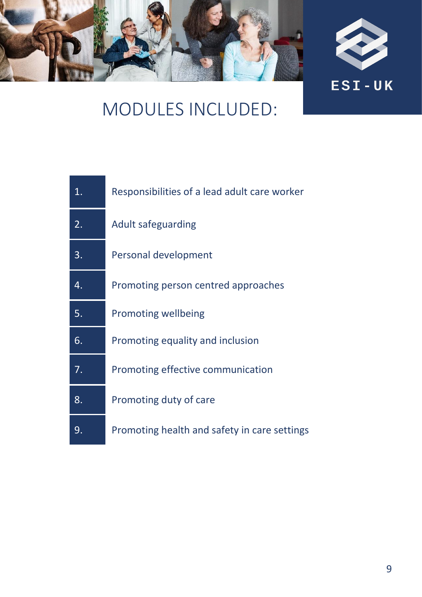



| 1. | Responsibilities of a lead adult care worker |
|----|----------------------------------------------|
| 2. | Adult safeguarding                           |
| 3. | Personal development                         |
| 4. | Promoting person centred approaches          |
| 5. | Promoting wellbeing                          |
| 6. | Promoting equality and inclusion             |
| 7. | Promoting effective communication            |
| 8. | Promoting duty of care                       |
| 9. | Promoting health and safety in care settings |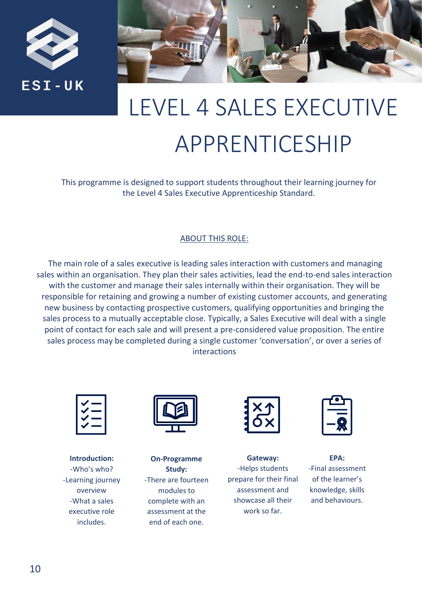



## LEVEL 4 SALES EXECUTIVE APPRENTICESHIP

This programme is designed to support students throughout their learning journey for the Level 4 Sales Executive Apprenticeship Standard.

#### ABOUT THIS ROLE:

The main role of a sales executive is leading sales interaction with customers and managing sales within an organisation. They plan their sales activities, lead the end-to-end sales interaction with the customer and manage their sales internally within their organisation. They will be responsible for retaining and growing a number of existing customer accounts, and generating new business by contacting prospective customers, qualifying opportunities and bringing the sales process to a mutually acceptable close. Typically, a Sales Executive will deal with a single point of contact for each sale and will present a pre-considered value proposition. The entire sales process may be completed during a single customer 'conversation', or over a series of interactions



**Introduction:** -Who's who? -Learning journey overview -What a sales executive role includes.



**On-Programme Study:** -There are fourteen modules to complete with an assessment at the end of each one.

**Gateway:** -Helps students prepare for their final assessment and showcase all their work so far.



**EPA:** -Final assessment of the learner's knowledge, skills and behaviours.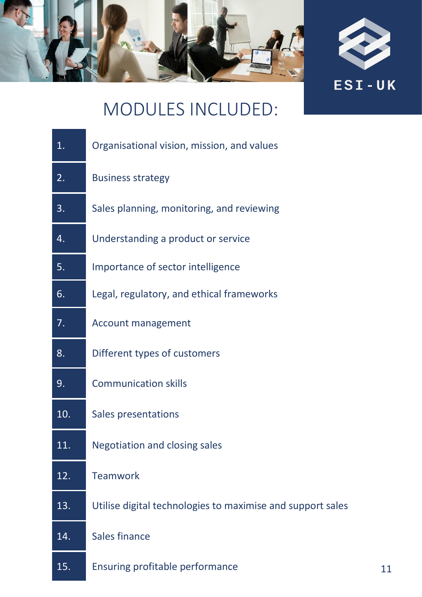



| 1.  | Organisational vision, mission, and values                 |
|-----|------------------------------------------------------------|
| 2.  | <b>Business strategy</b>                                   |
| 3.  | Sales planning, monitoring, and reviewing                  |
| 4.  | Understanding a product or service                         |
| 5.  | Importance of sector intelligence                          |
| 6.  | Legal, regulatory, and ethical frameworks                  |
| 7.  | Account management                                         |
| 8.  | Different types of customers                               |
| 9.  | <b>Communication skills</b>                                |
| 10. | Sales presentations                                        |
| 11. | <b>Negotiation and closing sales</b>                       |
| 12. | Teamwork                                                   |
| 13. | Utilise digital technologies to maximise and support sales |
| 14. | Sales finance                                              |
| 15. | Ensuring profitable performance                            |